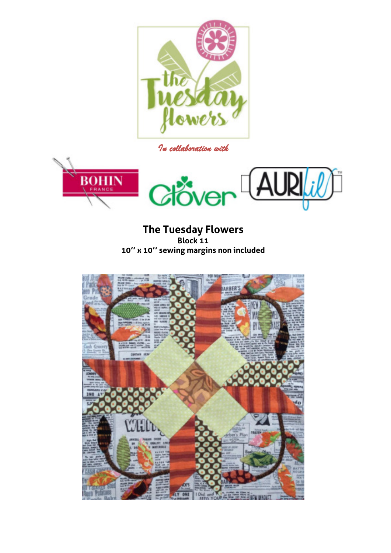

*In collaboration with* 



**The Tuesday Flowers Block 11 10'' x 10'' sewing margins non included** 

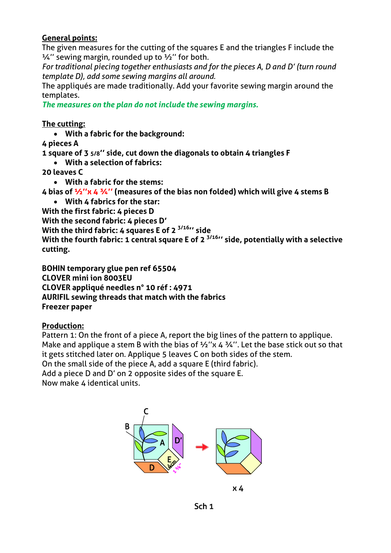## **General points:**

The given measures for the cutting of the squares E and the triangles F include the  $\frac{1}{4}$ " sewing margin, rounded up to  $\frac{1}{2}$ " for both.

*For traditional piecing together enthusiasts and for the pieces A, D and D' (turn round template D), add some sewing margins all around.* 

The appliqués are made traditionally. Add your favorite sewing margin around the templates.

*The measures on the plan do not include the sewing margins.* 

## **The cutting:**

**With a fabric for the background:** 

**4 pieces A** 

**1 square of 3 5/8'' side, cut down the diagonals to obtain 4 triangles F** 

**With a selection of fabrics:** 

**20 leaves C** 

**With a fabric for the stems:** 

**4 bias of ½''x 4 ¾'' (measures of the bias non folded) which will give 4 stems B** 

**With 4 fabrics for the star:** 

**With the first fabric: 4 pieces D** 

**With the second fabric: 4 pieces D'**

**With the third fabric: 4 squares E of 2 3/16'' side** 

**With the fourth fabric: 1 central square E of 2 3/16'' side, potentially with a selective cutting.** 

**BOHIN temporary glue pen ref 65504 CLOVER mini ion 8003EU CLOVER appliqué needles n° 10 réf : 4971 AURIFIL sewing threads that match with the fabrics Freezer paper** 

## **Production:**

Pattern 1: On the front of a piece A, report the big lines of the pattern to applique. Make and applique a stem B with the bias of  $\frac{1}{2}$ "x 4  $\frac{3}{4}$ ". Let the base stick out so that it gets stitched later on. Applique 5 leaves C on both sides of the stem.

On the small side of the piece A, add a square E (third fabric).

Add a piece D and D' on 2 opposite sides of the square E.

Now make 4 identical units.



 $x_{4}$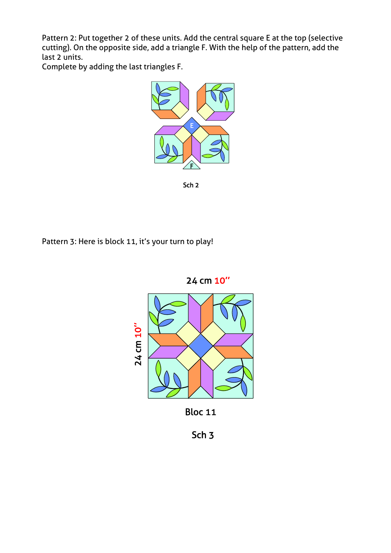Pattern 2: Put together 2 of these units. Add the central square E at the top (selective cutting). On the opposite side, add a triangle F. With the help of the pattern, add the last 2 units.

Complete by adding the last triangles F.



Sch<sub>2</sub>

Pattern 3: Here is block 11, it's your turn to play!



**Bloc 11** 

Sch<sub>3</sub>